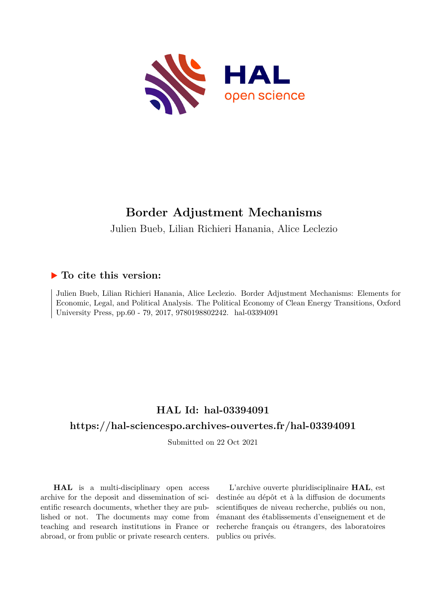

# **Border Adjustment Mechanisms**

Julien Bueb, Lilian Richieri Hanania, Alice Leclezio

# **To cite this version:**

Julien Bueb, Lilian Richieri Hanania, Alice Leclezio. Border Adjustment Mechanisms: Elements for Economic, Legal, and Political Analysis. The Political Economy of Clean Energy Transitions, Oxford University Press, pp.60 - 79, 2017, 9780198802242. hal-03394091

# **HAL Id: hal-03394091**

# **<https://hal-sciencespo.archives-ouvertes.fr/hal-03394091>**

Submitted on 22 Oct 2021

**HAL** is a multi-disciplinary open access archive for the deposit and dissemination of scientific research documents, whether they are published or not. The documents may come from teaching and research institutions in France or abroad, or from public or private research centers.

L'archive ouverte pluridisciplinaire **HAL**, est destinée au dépôt et à la diffusion de documents scientifiques de niveau recherche, publiés ou non, émanant des établissements d'enseignement et de recherche français ou étrangers, des laboratoires publics ou privés.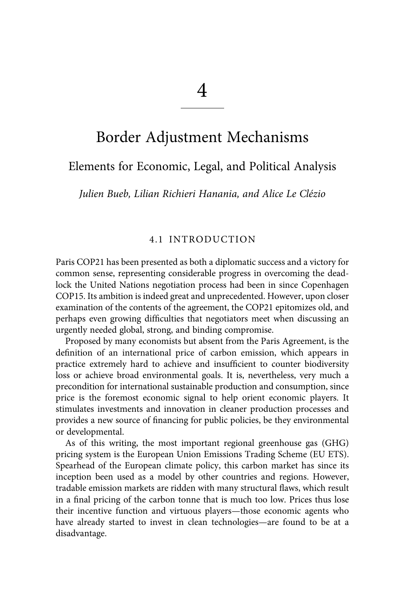# Border Adjustment Mechanisms Elements for Economic, Legal, and Political Analysis

Julien Bueb, Lilian Richieri Hanania, and Alice Le Clézio

## 4.1 INTRODUCTION

Paris COP21 has been presented as both a diplomatic success and a victory for common sense, representing considerable progress in overcoming the deadlock the United Nations negotiation process had been in since Copenhagen COP15. Its ambition is indeed great and unprecedented. However, upon closer examination of the contents of the agreement, the COP21 epitomizes old, and perhaps even growing difficulties that negotiators meet when discussing an urgently needed global, strong, and binding compromise.

Proposed by many economists but absent from the Paris Agreement, is the definition of an international price of carbon emission, which appears in practice extremely hard to achieve and insufficient to counter biodiversity loss or achieve broad environmental goals. It is, nevertheless, very much a precondition for international sustainable production and consumption, since price is the foremost economic signal to help orient economic players. It stimulates investments and innovation in cleaner production processes and provides a new source of financing for public policies, be they environmental or developmental.

As of this writing, the most important regional greenhouse gas (GHG) pricing system is the European Union Emissions Trading Scheme (EU ETS). Spearhead of the European climate policy, this carbon market has since its inception been used as a model by other countries and regions. However, tradable emission markets are ridden with many structural flaws, which result in a final pricing of the carbon tonne that is much too low. Prices thus lose their incentive function and virtuous players—those economic agents who have already started to invest in clean technologies—are found to be at a disadvantage.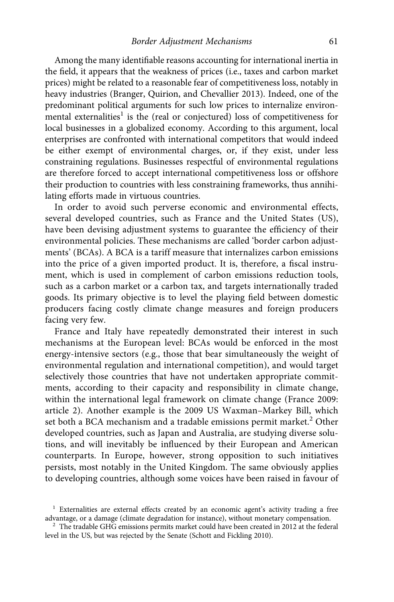Among the many identifiable reasons accounting for international inertia in the field, it appears that the weakness of prices (i.e., taxes and carbon market prices) might be related to a reasonable fear of competitiveness loss, notably in heavy industries (Branger, Quirion, and Chevallier 2013). Indeed, one of the predominant political arguments for such low prices to internalize environmental externalities<sup>1</sup> is the (real or conjectured) loss of competitiveness for local businesses in a globalized economy. According to this argument, local enterprises are confronted with international competitors that would indeed be either exempt of environmental charges, or, if they exist, under less constraining regulations. Businesses respectful of environmental regulations are therefore forced to accept international competitiveness loss or offshore their production to countries with less constraining frameworks, thus annihilating efforts made in virtuous countries.

In order to avoid such perverse economic and environmental effects, several developed countries, such as France and the United States (US), have been devising adjustment systems to guarantee the efficiency of their environmental policies. These mechanisms are called 'border carbon adjustments' (BCAs). A BCA is a tariff measure that internalizes carbon emissions into the price of a given imported product. It is, therefore, a fiscal instrument, which is used in complement of carbon emissions reduction tools, such as a carbon market or a carbon tax, and targets internationally traded goods. Its primary objective is to level the playing field between domestic producers facing costly climate change measures and foreign producers facing very few.

France and Italy have repeatedly demonstrated their interest in such mechanisms at the European level: BCAs would be enforced in the most energy-intensive sectors (e.g., those that bear simultaneously the weight of environmental regulation and international competition), and would target selectively those countries that have not undertaken appropriate commitments, according to their capacity and responsibility in climate change, within the international legal framework on climate change (France 2009: article 2). Another example is the 2009 US Waxman–Markey Bill, which set both a BCA mechanism and a tradable emissions permit market.<sup>2</sup> Other developed countries, such as Japan and Australia, are studying diverse solutions, and will inevitably be influenced by their European and American counterparts. In Europe, however, strong opposition to such initiatives persists, most notably in the United Kingdom. The same obviously applies to developing countries, although some voices have been raised in favour of

<sup>&</sup>lt;sup>1</sup> Externalities are external effects created by an economic agent's activity trading a free advantage, or a damage (climate degradation for instance), without monetary compensation.

 $2$  The tradable GHG emissions permits market could have been created in 2012 at the federal level in the US, but was rejected by the Senate (Schott and Fickling 2010).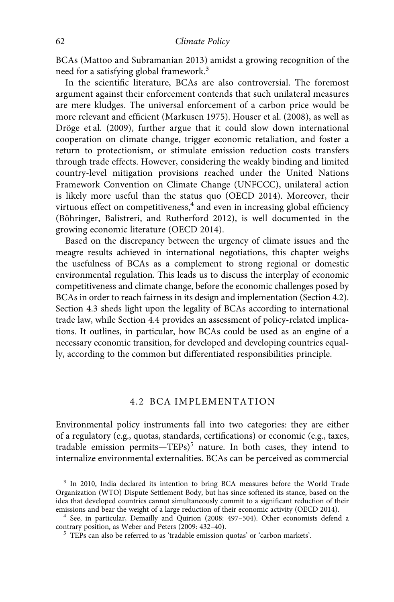BCAs (Mattoo and Subramanian 2013) amidst a growing recognition of the need for a satisfying global framework.<sup>3</sup>

In the scientific literature, BCAs are also controversial. The foremost argument against their enforcement contends that such unilateral measures are mere kludges. The universal enforcement of a carbon price would be more relevant and efficient (Markusen 1975). Houser et al. (2008), as well as Dröge et al. (2009), further argue that it could slow down international cooperation on climate change, trigger economic retaliation, and foster a return to protectionism, or stimulate emission reduction costs transfers through trade effects. However, considering the weakly binding and limited country-level mitigation provisions reached under the United Nations Framework Convention on Climate Change (UNFCCC), unilateral action is likely more useful than the status quo (OECD 2014). Moreover, their virtuous effect on competitiveness, $4$  and even in increasing global efficiency (Böhringer, Balistreri, and Rutherford 2012), is well documented in the growing economic literature (OECD 2014).

Based on the discrepancy between the urgency of climate issues and the meagre results achieved in international negotiations, this chapter weighs the usefulness of BCAs as a complement to strong regional or domestic environmental regulation. This leads us to discuss the interplay of economic competitiveness and climate change, before the economic challenges posed by BCAs in order to reach fairness in its design and implementation (Section 4.2). Section 4.3 sheds light upon the legality of BCAs according to international trade law, while Section 4.4 provides an assessment of policy-related implications. It outlines, in particular, how BCAs could be used as an engine of a necessary economic transition, for developed and developing countries equally, according to the common but differentiated responsibilities principle.

#### 4.2 BCA IMPLEMENTATION

Environmental policy instruments fall into two categories: they are either of a regulatory (e.g., quotas, standards, certifications) or economic (e.g., taxes, tradable emission permits—TEPs)<sup>5</sup> nature. In both cases, they intend to internalize environmental externalities. BCAs can be perceived as commercial

<sup>&</sup>lt;sup>3</sup> In 2010, India declared its intention to bring BCA measures before the World Trade Organization (WTO) Dispute Settlement Body, but has since softened its stance, based on the idea that developed countries cannot simultaneously commit to a significant reduction of their emissions and bear the weight of a large reduction of their economic activity (OECD 2014).

<sup>&</sup>lt;sup>4</sup> See, in particular, Demailly and Quirion (2008: 497–504). Other economists defend a contrary position, as Weber and Peters (2009: 432–40).

<sup>&</sup>lt;sup>5</sup> TEPs can also be referred to as 'tradable emission quotas' or 'carbon markets'.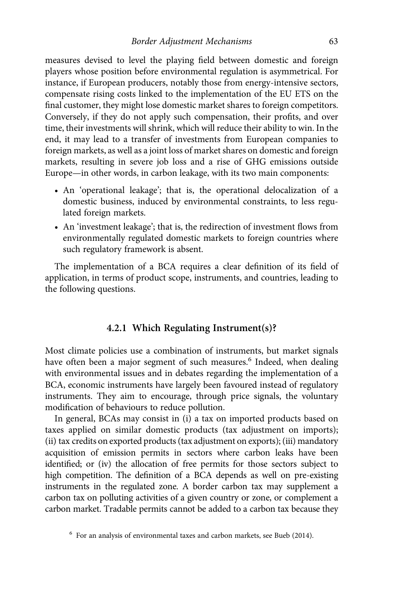measures devised to level the playing field between domestic and foreign players whose position before environmental regulation is asymmetrical. For instance, if European producers, notably those from energy-intensive sectors, compensate rising costs linked to the implementation of the EU ETS on the final customer, they might lose domestic market shares to foreign competitors. Conversely, if they do not apply such compensation, their profits, and over time, their investments will shrink, which will reduce their ability to win. In the end, it may lead to a transfer of investments from European companies to foreign markets, as well as a joint loss of market shares on domestic and foreign markets, resulting in severe job loss and a rise of GHG emissions outside Europe—in other words, in carbon leakage, with its two main components:

- An 'operational leakage'; that is, the operational delocalization of a domestic business, induced by environmental constraints, to less regulated foreign markets.
- An 'investment leakage'; that is, the redirection of investment flows from environmentally regulated domestic markets to foreign countries where such regulatory framework is absent.

The implementation of a BCA requires a clear definition of its field of application, in terms of product scope, instruments, and countries, leading to the following questions.

## 4.2.1 Which Regulating Instrument(s)?

Most climate policies use a combination of instruments, but market signals have often been a major segment of such measures.<sup>6</sup> Indeed, when dealing with environmental issues and in debates regarding the implementation of a BCA, economic instruments have largely been favoured instead of regulatory instruments. They aim to encourage, through price signals, the voluntary modification of behaviours to reduce pollution.

In general, BCAs may consist in (i) a tax on imported products based on taxes applied on similar domestic products (tax adjustment on imports); (ii) tax credits on exported products (tax adjustment on exports); (iii) mandatory acquisition of emission permits in sectors where carbon leaks have been identified; or (iv) the allocation of free permits for those sectors subject to high competition. The definition of a BCA depends as well on pre-existing instruments in the regulated zone. A border carbon tax may supplement a carbon tax on polluting activities of a given country or zone, or complement a carbon market. Tradable permits cannot be added to a carbon tax because they

<sup>6</sup> For an analysis of environmental taxes and carbon markets, see Bueb (2014).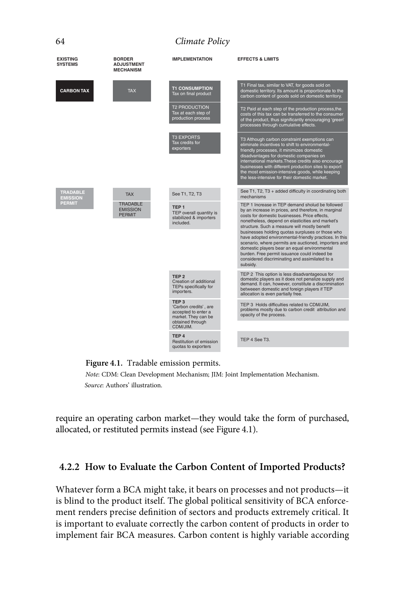### 64 Climate Policy



Figure 4.1. Tradable emission permits.

Note: CDM: Clean Development Mechanism; JIM: Joint Implementation Mechanism. Source: Authors' illustration.

require an operating carbon market—they would take the form of purchased, allocated, or restituted permits instead (see Figure 4.1).

#### 4.2.2 How to Evaluate the Carbon Content of Imported Products?

Whatever form a BCA might take, it bears on processes and not products—it is blind to the product itself. The global political sensitivity of BCA enforcement renders precise definition of sectors and products extremely critical. It is important to evaluate correctly the carbon content of products in order to implement fair BCA measures. Carbon content is highly variable according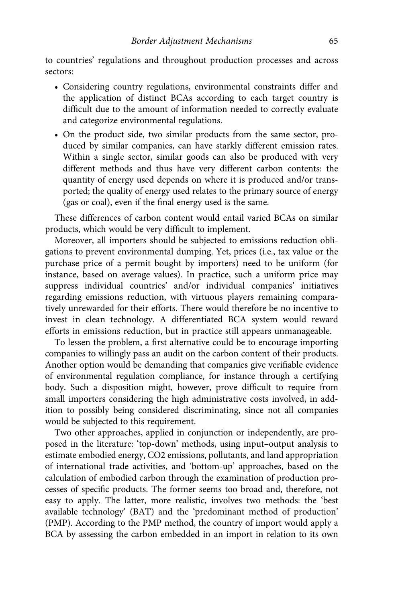to countries' regulations and throughout production processes and across sectors:

- Considering country regulations, environmental constraints differ and the application of distinct BCAs according to each target country is difficult due to the amount of information needed to correctly evaluate and categorize environmental regulations.
- On the product side, two similar products from the same sector, produced by similar companies, can have starkly different emission rates. Within a single sector, similar goods can also be produced with very different methods and thus have very different carbon contents: the quantity of energy used depends on where it is produced and/or transported; the quality of energy used relates to the primary source of energy (gas or coal), even if the final energy used is the same.

These differences of carbon content would entail varied BCAs on similar products, which would be very difficult to implement.

Moreover, all importers should be subjected to emissions reduction obligations to prevent environmental dumping. Yet, prices (i.e., tax value or the purchase price of a permit bought by importers) need to be uniform (for instance, based on average values). In practice, such a uniform price may suppress individual countries' and/or individual companies' initiatives regarding emissions reduction, with virtuous players remaining comparatively unrewarded for their efforts. There would therefore be no incentive to invest in clean technology. A differentiated BCA system would reward efforts in emissions reduction, but in practice still appears unmanageable.

To lessen the problem, a first alternative could be to encourage importing companies to willingly pass an audit on the carbon content of their products. Another option would be demanding that companies give verifiable evidence of environmental regulation compliance, for instance through a certifying body. Such a disposition might, however, prove difficult to require from small importers considering the high administrative costs involved, in addition to possibly being considered discriminating, since not all companies would be subjected to this requirement.

Two other approaches, applied in conjunction or independently, are proposed in the literature: 'top-down' methods, using input–output analysis to estimate embodied energy, CO2 emissions, pollutants, and land appropriation of international trade activities, and 'bottom-up' approaches, based on the calculation of embodied carbon through the examination of production processes of specific products. The former seems too broad and, therefore, not easy to apply. The latter, more realistic, involves two methods: the 'best available technology' (BAT) and the 'predominant method of production' (PMP). According to the PMP method, the country of import would apply a BCA by assessing the carbon embedded in an import in relation to its own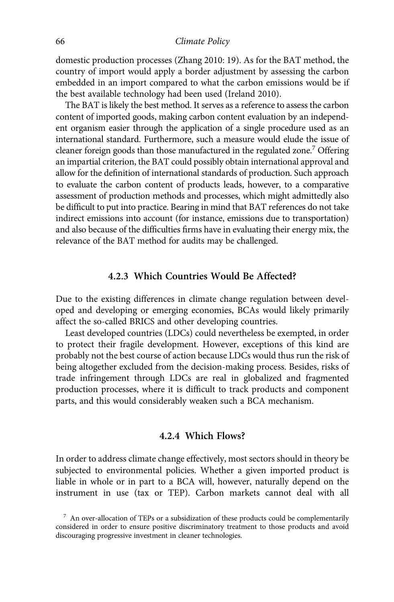domestic production processes (Zhang 2010: 19). As for the BAT method, the country of import would apply a border adjustment by assessing the carbon embedded in an import compared to what the carbon emissions would be if the best available technology had been used (Ireland 2010).

The BAT is likely the best method. It serves as a reference to assess the carbon content of imported goods, making carbon content evaluation by an independent organism easier through the application of a single procedure used as an international standard. Furthermore, such a measure would elude the issue of cleaner foreign goods than those manufactured in the regulated zone.7 Offering an impartial criterion, the BAT could possibly obtain international approval and allow for the definition of international standards of production. Such approach to evaluate the carbon content of products leads, however, to a comparative assessment of production methods and processes, which might admittedly also be difficult to put into practice. Bearing in mind that BAT references do not take indirect emissions into account (for instance, emissions due to transportation) and also because of the difficulties firms have in evaluating their energy mix, the relevance of the BAT method for audits may be challenged.

#### 4.2.3 Which Countries Would Be Affected?

Due to the existing differences in climate change regulation between developed and developing or emerging economies, BCAs would likely primarily affect the so-called BRICS and other developing countries.

Least developed countries (LDCs) could nevertheless be exempted, in order to protect their fragile development. However, exceptions of this kind are probably not the best course of action because LDCs would thus run the risk of being altogether excluded from the decision-making process. Besides, risks of trade infringement through LDCs are real in globalized and fragmented production processes, where it is difficult to track products and component parts, and this would considerably weaken such a BCA mechanism.

#### 4.2.4 Which Flows?

In order to address climate change effectively, most sectors should in theory be subjected to environmental policies. Whether a given imported product is liable in whole or in part to a BCA will, however, naturally depend on the instrument in use (tax or TEP). Carbon markets cannot deal with all

 $7$  An over-allocation of TEPs or a subsidization of these products could be complementarily considered in order to ensure positive discriminatory treatment to those products and avoid discouraging progressive investment in cleaner technologies.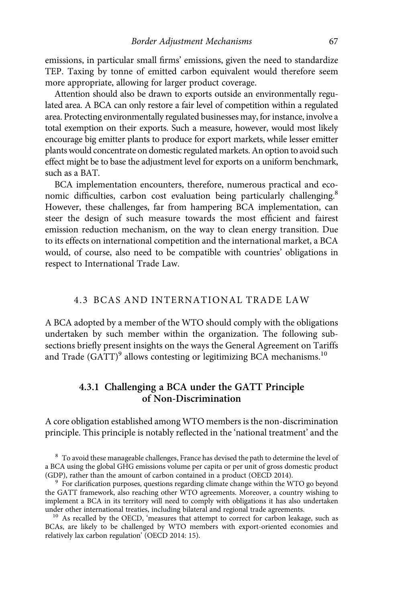emissions, in particular small firms' emissions, given the need to standardize TEP. Taxing by tonne of emitted carbon equivalent would therefore seem more appropriate, allowing for larger product coverage.

Attention should also be drawn to exports outside an environmentally regulated area. A BCA can only restore a fair level of competition within a regulated area. Protecting environmentally regulated businesses may, for instance, involve a total exemption on their exports. Such a measure, however, would most likely encourage big emitter plants to produce for export markets, while lesser emitter plants would concentrate on domestic regulated markets. An option to avoid such effect might be to base the adjustment level for exports on a uniform benchmark, such as a BAT.

BCA implementation encounters, therefore, numerous practical and economic difficulties, carbon cost evaluation being particularly challenging.<sup>8</sup> However, these challenges, far from hampering BCA implementation, can steer the design of such measure towards the most efficient and fairest emission reduction mechanism, on the way to clean energy transition. Due to its effects on international competition and the international market, a BCA would, of course, also need to be compatible with countries' obligations in respect to International Trade Law.

#### 4.3 BCAS AND INTERNATIONAL TRADE LAW

A BCA adopted by a member of the WTO should comply with the obligations undertaken by such member within the organization. The following subsections briefly present insights on the ways the General Agreement on Tariffs and Trade  $(GATT)^9$  allows contesting or legitimizing BCA mechanisms.<sup>10</sup>

# 4.3.1 Challenging a BCA under the GATT Principle of Non-Discrimination

A core obligation established among WTO members is the non-discrimination principle. This principle is notably reflected in the 'national treatment' and the

<sup>8</sup> To avoid these manageable challenges, France has devised the path to determine the level of a BCA using the global GHG emissions volume per capita or per unit of gross domestic product (GDP), rather than the amount of carbon contained in a product (OECD 2014).

<sup>9</sup> For clarification purposes, questions regarding climate change within the WTO go beyond the GATT framework, also reaching other WTO agreements. Moreover, a country wishing to implement a BCA in its territory will need to comply with obligations it has also undertaken under other international treaties, including bilateral and regional trade agreements.

<sup>10</sup> As recalled by the OECD, 'measures that attempt to correct for carbon leakage, such as BCAs, are likely to be challenged by WTO members with export-oriented economies and relatively lax carbon regulation' (OECD 2014: 15).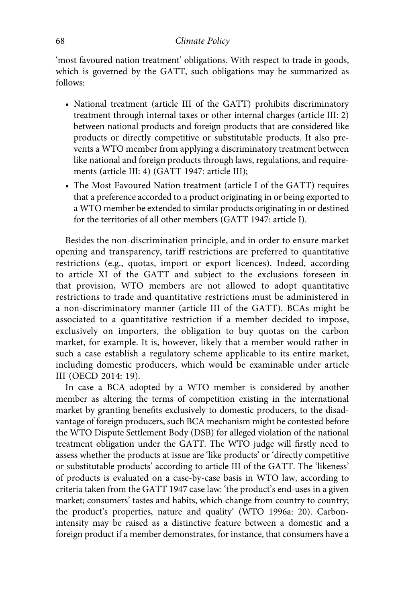'most favoured nation treatment' obligations. With respect to trade in goods, which is governed by the GATT, such obligations may be summarized as follows:

- National treatment (article III of the GATT) prohibits discriminatory treatment through internal taxes or other internal charges (article III: 2) between national products and foreign products that are considered like products or directly competitive or substitutable products. It also prevents a WTO member from applying a discriminatory treatment between like national and foreign products through laws, regulations, and requirements (article III: 4) (GATT 1947: article III);
- The Most Favoured Nation treatment (article I of the GATT) requires that a preference accorded to a product originating in or being exported to a WTO member be extended to similar products originating in or destined for the territories of all other members (GATT 1947: article I).

Besides the non-discrimination principle, and in order to ensure market opening and transparency, tariff restrictions are preferred to quantitative restrictions (e.g., quotas, import or export licences). Indeed, according to article XI of the GATT and subject to the exclusions foreseen in that provision, WTO members are not allowed to adopt quantitative restrictions to trade and quantitative restrictions must be administered in a non-discriminatory manner (article III of the GATT). BCAs might be associated to a quantitative restriction if a member decided to impose, exclusively on importers, the obligation to buy quotas on the carbon market, for example. It is, however, likely that a member would rather in such a case establish a regulatory scheme applicable to its entire market, including domestic producers, which would be examinable under article III (OECD 2014: 19).

In case a BCA adopted by a WTO member is considered by another member as altering the terms of competition existing in the international market by granting benefits exclusively to domestic producers, to the disadvantage of foreign producers, such BCA mechanism might be contested before the WTO Dispute Settlement Body (DSB) for alleged violation of the national treatment obligation under the GATT. The WTO judge will firstly need to assess whether the products at issue are 'like products' or 'directly competitive or substitutable products' according to article III of the GATT. The 'likeness' of products is evaluated on a case-by-case basis in WTO law, according to criteria taken from the GATT 1947 case law: 'the product's end-uses in a given market; consumers' tastes and habits, which change from country to country; the product's properties, nature and quality' (WTO 1996a: 20). Carbonintensity may be raised as a distinctive feature between a domestic and a foreign product if a member demonstrates, for instance, that consumers have a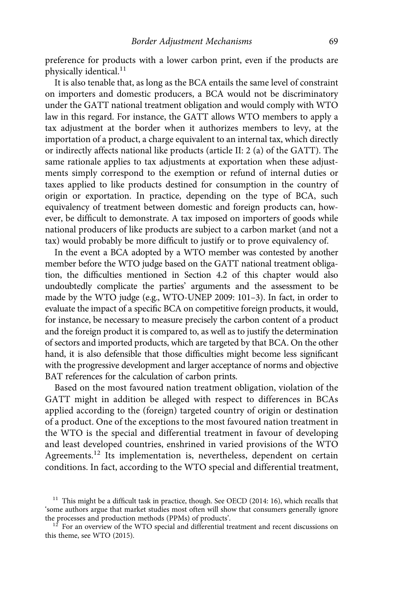preference for products with a lower carbon print, even if the products are physically identical.<sup>11</sup>

It is also tenable that, as long as the BCA entails the same level of constraint on importers and domestic producers, a BCA would not be discriminatory under the GATT national treatment obligation and would comply with WTO law in this regard. For instance, the GATT allows WTO members to apply a tax adjustment at the border when it authorizes members to levy, at the importation of a product, a charge equivalent to an internal tax, which directly or indirectly affects national like products (article II: 2 (a) of the GATT). The same rationale applies to tax adjustments at exportation when these adjustments simply correspond to the exemption or refund of internal duties or taxes applied to like products destined for consumption in the country of origin or exportation. In practice, depending on the type of BCA, such equivalency of treatment between domestic and foreign products can, however, be difficult to demonstrate. A tax imposed on importers of goods while national producers of like products are subject to a carbon market (and not a tax) would probably be more difficult to justify or to prove equivalency of.

In the event a BCA adopted by a WTO member was contested by another member before the WTO judge based on the GATT national treatment obligation, the difficulties mentioned in Section 4.2 of this chapter would also undoubtedly complicate the parties' arguments and the assessment to be made by the WTO judge (e.g., WTO-UNEP 2009: 101–3). In fact, in order to evaluate the impact of a specific BCA on competitive foreign products, it would, for instance, be necessary to measure precisely the carbon content of a product and the foreign product it is compared to, as well as to justify the determination of sectors and imported products, which are targeted by that BCA. On the other hand, it is also defensible that those difficulties might become less significant with the progressive development and larger acceptance of norms and objective BAT references for the calculation of carbon prints.

Based on the most favoured nation treatment obligation, violation of the GATT might in addition be alleged with respect to differences in BCAs applied according to the (foreign) targeted country of origin or destination of a product. One of the exceptions to the most favoured nation treatment in the WTO is the special and differential treatment in favour of developing and least developed countries, enshrined in varied provisions of the WTO Agreements.<sup>12</sup> Its implementation is, nevertheless, dependent on certain conditions. In fact, according to the WTO special and differential treatment,

 $11$  This might be a difficult task in practice, though. See OECD (2014: 16), which recalls that 'some authors argue that market studies most often will show that consumers generally ignore

 $12$  For an overview of the WTO special and differential treatment and recent discussions on this theme, see WTO (2015).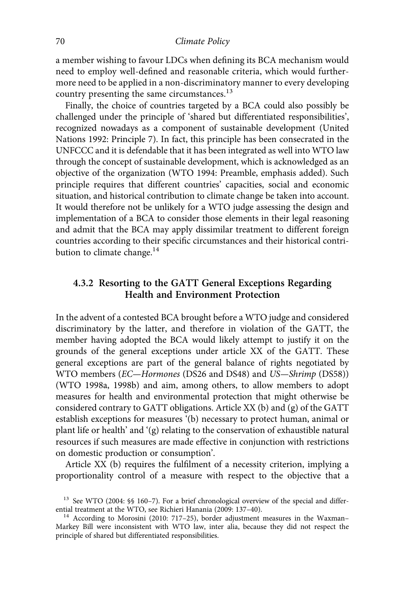a member wishing to favour LDCs when defining its BCA mechanism would need to employ well-defined and reasonable criteria, which would furthermore need to be applied in a non-discriminatory manner to every developing country presenting the same circumstances.<sup>13</sup>

Finally, the choice of countries targeted by a BCA could also possibly be challenged under the principle of 'shared but differentiated responsibilities', recognized nowadays as a component of sustainable development (United Nations 1992: Principle 7). In fact, this principle has been consecrated in the UNFCCC and it is defendable that it has been integrated as well into WTO law through the concept of sustainable development, which is acknowledged as an objective of the organization (WTO 1994: Preamble, emphasis added). Such principle requires that different countries' capacities, social and economic situation, and historical contribution to climate change be taken into account. It would therefore not be unlikely for a WTO judge assessing the design and implementation of a BCA to consider those elements in their legal reasoning and admit that the BCA may apply dissimilar treatment to different foreign countries according to their specific circumstances and their historical contribution to climate change. $14$ 

# 4.3.2 Resorting to the GATT General Exceptions Regarding Health and Environment Protection

In the advent of a contested BCA brought before a WTO judge and considered discriminatory by the latter, and therefore in violation of the GATT, the member having adopted the BCA would likely attempt to justify it on the grounds of the general exceptions under article XX of the GATT. These general exceptions are part of the general balance of rights negotiated by WTO members (EC—Hormones (DS26 and DS48) and US—Shrimp (DS58)) (WTO 1998a, 1998b) and aim, among others, to allow members to adopt measures for health and environmental protection that might otherwise be considered contrary to GATT obligations. Article XX (b) and (g) of the GATT establish exceptions for measures '(b) necessary to protect human, animal or plant life or health' and '(g) relating to the conservation of exhaustible natural resources if such measures are made effective in conjunction with restrictions on domestic production or consumption'.

Article XX (b) requires the fulfilment of a necessity criterion, implying a proportionality control of a measure with respect to the objective that a

<sup>&</sup>lt;sup>13</sup> See WTO (2004:  $\S$  160–7). For a brief chronological overview of the special and differential treatment at the WTO, see Richieri Hanania (2009: 137–40).

<sup>&</sup>lt;sup>14</sup> According to Morosini (2010: 717–25), border adjustment measures in the Waxman– Markey Bill were inconsistent with WTO law, inter alia, because they did not respect the principle of shared but differentiated responsibilities.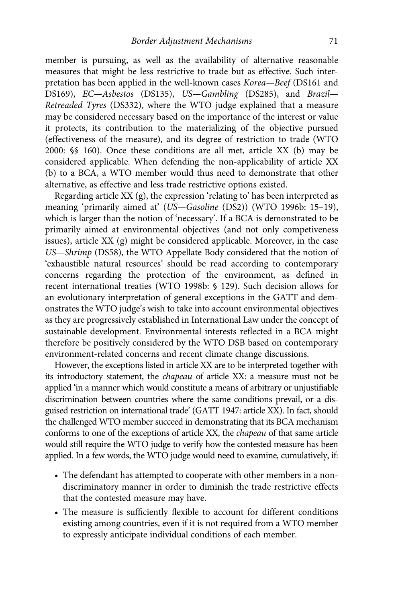member is pursuing, as well as the availability of alternative reasonable measures that might be less restrictive to trade but as effective. Such interpretation has been applied in the well-known cases Korea—Beef (DS161 and DS169), EC—Asbestos (DS135), US—Gambling (DS285), and Brazil— Retreaded Tyres (DS332), where the WTO judge explained that a measure may be considered necessary based on the importance of the interest or value it protects, its contribution to the materializing of the objective pursued (effectiveness of the measure), and its degree of restriction to trade (WTO 2000: §§ 160). Once these conditions are all met, article XX (b) may be considered applicable. When defending the non-applicability of article XX (b) to a BCA, a WTO member would thus need to demonstrate that other alternative, as effective and less trade restrictive options existed.

Regarding article XX (g), the expression 'relating to' has been interpreted as meaning 'primarily aimed at' (US—Gasoline (DS2)) (WTO 1996b: 15–19), which is larger than the notion of 'necessary'. If a BCA is demonstrated to be primarily aimed at environmental objectives (and not only competiveness issues), article XX (g) might be considered applicable. Moreover, in the case US—Shrimp (DS58), the WTO Appellate Body considered that the notion of 'exhaustible natural resources' should be read according to contemporary concerns regarding the protection of the environment, as defined in recent international treaties (WTO 1998b: § 129). Such decision allows for an evolutionary interpretation of general exceptions in the GATT and demonstrates the WTO judge's wish to take into account environmental objectives as they are progressively established in International Law under the concept of sustainable development. Environmental interests reflected in a BCA might therefore be positively considered by the WTO DSB based on contemporary environment-related concerns and recent climate change discussions.

However, the exceptions listed in article XX are to be interpreted together with its introductory statement, the chapeau of article XX: a measure must not be applied 'in a manner which would constitute a means of arbitrary or unjustifiable discrimination between countries where the same conditions prevail, or a disguised restriction on international trade' (GATT 1947: article XX). In fact, should the challenged WTO member succeed in demonstrating that its BCA mechanism conforms to one of the exceptions of article XX, the chapeau of that same article would still require the WTO judge to verify how the contested measure has been applied. In a few words, the WTO judge would need to examine, cumulatively, if:

- The defendant has attempted to cooperate with other members in a nondiscriminatory manner in order to diminish the trade restrictive effects that the contested measure may have.
- The measure is sufficiently flexible to account for different conditions existing among countries, even if it is not required from a WTO member to expressly anticipate individual conditions of each member.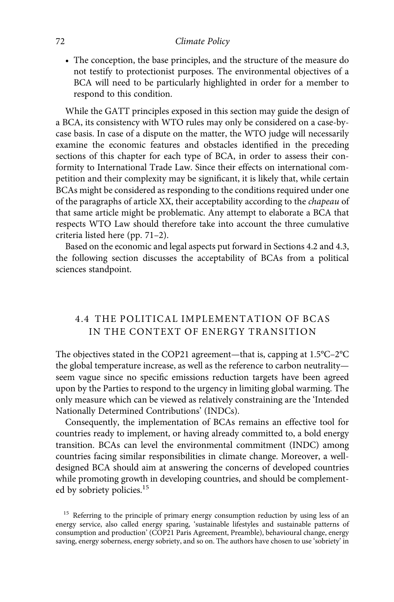#### 72 Climate Policy

• The conception, the base principles, and the structure of the measure do not testify to protectionist purposes. The environmental objectives of a BCA will need to be particularly highlighted in order for a member to respond to this condition.

While the GATT principles exposed in this section may guide the design of a BCA, its consistency with WTO rules may only be considered on a case-bycase basis. In case of a dispute on the matter, the WTO judge will necessarily examine the economic features and obstacles identified in the preceding sections of this chapter for each type of BCA, in order to assess their conformity to International Trade Law. Since their effects on international competition and their complexity may be significant, it is likely that, while certain BCAs might be considered as responding to the conditions required under one of the paragraphs of article XX, their acceptability according to the chapeau of that same article might be problematic. Any attempt to elaborate a BCA that respects WTO Law should therefore take into account the three cumulative criteria listed here (pp. 71–2).

Based on the economic and legal aspects put forward in Sections 4.2 and 4.3, the following section discusses the acceptability of BCAs from a political sciences standpoint.

## 4.4 THE POLITICAL IMPLEMENTATION OF BCAS IN THE CONTEXT OF ENERGY TRANSITION

The objectives stated in the COP21 agreement—that is, capping at 1.5°C–2°C the global temperature increase, as well as the reference to carbon neutrality seem vague since no specific emissions reduction targets have been agreed upon by the Parties to respond to the urgency in limiting global warming. The only measure which can be viewed as relatively constraining are the 'Intended Nationally Determined Contributions' (INDCs).

Consequently, the implementation of BCAs remains an effective tool for countries ready to implement, or having already committed to, a bold energy transition. BCAs can level the environmental commitment (INDC) among countries facing similar responsibilities in climate change. Moreover, a welldesigned BCA should aim at answering the concerns of developed countries while promoting growth in developing countries, and should be complemented by sobriety policies.<sup>15</sup>

<sup>&</sup>lt;sup>15</sup> Referring to the principle of primary energy consumption reduction by using less of an energy service, also called energy sparing, 'sustainable lifestyles and sustainable patterns of consumption and production' (COP21 Paris Agreement, Preamble), behavioural change, energy saving, energy soberness, energy sobriety, and so on. The authors have chosen to use 'sobriety' in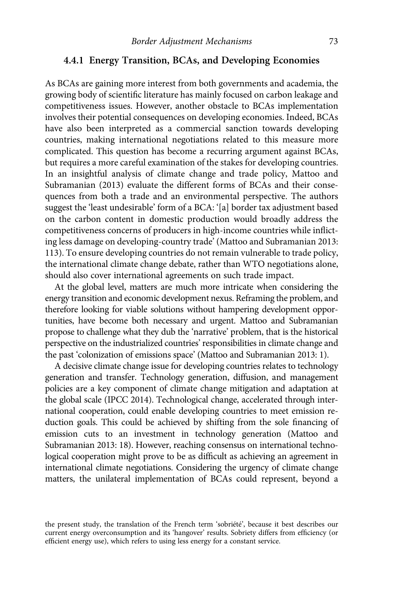## 4.4.1 Energy Transition, BCAs, and Developing Economies

As BCAs are gaining more interest from both governments and academia, the growing body of scientific literature has mainly focused on carbon leakage and competitiveness issues. However, another obstacle to BCAs implementation involves their potential consequences on developing economies. Indeed, BCAs have also been interpreted as a commercial sanction towards developing countries, making international negotiations related to this measure more complicated. This question has become a recurring argument against BCAs, but requires a more careful examination of the stakes for developing countries. In an insightful analysis of climate change and trade policy, Mattoo and Subramanian (2013) evaluate the different forms of BCAs and their consequences from both a trade and an environmental perspective. The authors suggest the 'least undesirable' form of a BCA: '[a] border tax adjustment based on the carbon content in domestic production would broadly address the competitiveness concerns of producers in high-income countries while inflicting less damage on developing-country trade' (Mattoo and Subramanian 2013: 113). To ensure developing countries do not remain vulnerable to trade policy, the international climate change debate, rather than WTO negotiations alone, should also cover international agreements on such trade impact.

At the global level, matters are much more intricate when considering the energy transition and economic development nexus. Reframing the problem, and therefore looking for viable solutions without hampering development opportunities, have become both necessary and urgent. Mattoo and Subramanian propose to challenge what they dub the 'narrative' problem, that is the historical perspective on the industrialized countries' responsibilities in climate change and the past 'colonization of emissions space' (Mattoo and Subramanian 2013: 1).

A decisive climate change issue for developing countries relates to technology generation and transfer. Technology generation, diffusion, and management policies are a key component of climate change mitigation and adaptation at the global scale (IPCC 2014). Technological change, accelerated through international cooperation, could enable developing countries to meet emission reduction goals. This could be achieved by shifting from the sole financing of emission cuts to an investment in technology generation (Mattoo and Subramanian 2013: 18). However, reaching consensus on international technological cooperation might prove to be as difficult as achieving an agreement in international climate negotiations. Considering the urgency of climate change matters, the unilateral implementation of BCAs could represent, beyond a

the present study, the translation of the French term 'sobriété', because it best describes our current energy overconsumption and its 'hangover' results. Sobriety differs from efficiency (or efficient energy use), which refers to using less energy for a constant service.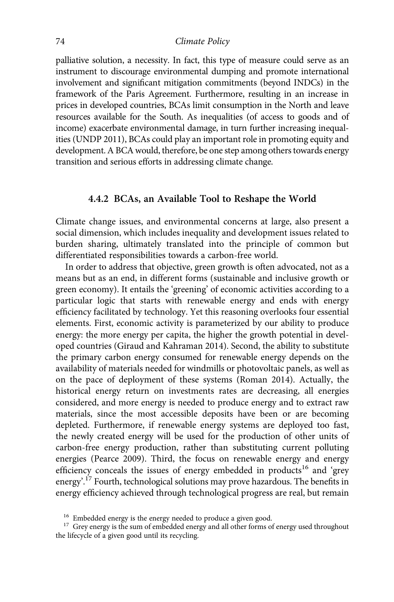palliative solution, a necessity. In fact, this type of measure could serve as an instrument to discourage environmental dumping and promote international involvement and significant mitigation commitments (beyond INDCs) in the framework of the Paris Agreement. Furthermore, resulting in an increase in prices in developed countries, BCAs limit consumption in the North and leave resources available for the South. As inequalities (of access to goods and of income) exacerbate environmental damage, in turn further increasing inequalities (UNDP 2011), BCAs could play an important role in promoting equity and development. A BCA would, therefore, be one step among others towards energy transition and serious efforts in addressing climate change.

#### 4.4.2 BCAs, an Available Tool to Reshape the World

Climate change issues, and environmental concerns at large, also present a social dimension, which includes inequality and development issues related to burden sharing, ultimately translated into the principle of common but differentiated responsibilities towards a carbon-free world.

In order to address that objective, green growth is often advocated, not as a means but as an end, in different forms (sustainable and inclusive growth or green economy). It entails the 'greening' of economic activities according to a particular logic that starts with renewable energy and ends with energy efficiency facilitated by technology. Yet this reasoning overlooks four essential elements. First, economic activity is parameterized by our ability to produce energy: the more energy per capita, the higher the growth potential in developed countries (Giraud and Kahraman 2014). Second, the ability to substitute the primary carbon energy consumed for renewable energy depends on the availability of materials needed for windmills or photovoltaic panels, as well as on the pace of deployment of these systems (Roman 2014). Actually, the historical energy return on investments rates are decreasing, all energies considered, and more energy is needed to produce energy and to extract raw materials, since the most accessible deposits have been or are becoming depleted. Furthermore, if renewable energy systems are deployed too fast, the newly created energy will be used for the production of other units of carbon-free energy production, rather than substituting current polluting energies (Pearce 2009). Third, the focus on renewable energy and energy efficiency conceals the issues of energy embedded in products<sup>16</sup> and 'grey energy'.<sup>17</sup> Fourth, technological solutions may prove hazardous. The benefits in energy efficiency achieved through technological progress are real, but remain

<sup>&</sup>lt;sup>16</sup> Embedded energy is the energy needed to produce a given good.  $17$  Grey energy is the sum of embedded energy and all other forms of energy used throughout the lifecycle of a given good until its recycling.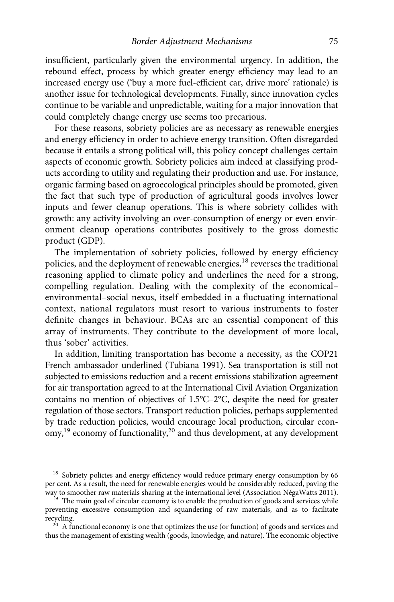insufficient, particularly given the environmental urgency. In addition, the rebound effect, process by which greater energy efficiency may lead to an increased energy use ('buy a more fuel-efficient car, drive more' rationale) is another issue for technological developments. Finally, since innovation cycles continue to be variable and unpredictable, waiting for a major innovation that could completely change energy use seems too precarious.

For these reasons, sobriety policies are as necessary as renewable energies and energy efficiency in order to achieve energy transition. Often disregarded because it entails a strong political will, this policy concept challenges certain aspects of economic growth. Sobriety policies aim indeed at classifying products according to utility and regulating their production and use. For instance, organic farming based on agroecological principles should be promoted, given the fact that such type of production of agricultural goods involves lower inputs and fewer cleanup operations. This is where sobriety collides with growth: any activity involving an over-consumption of energy or even environment cleanup operations contributes positively to the gross domestic product (GDP).

The implementation of sobriety policies, followed by energy efficiency policies, and the deployment of renewable energies,<sup>18</sup> reverses the traditional reasoning applied to climate policy and underlines the need for a strong, compelling regulation. Dealing with the complexity of the economical– environmental–social nexus, itself embedded in a fluctuating international context, national regulators must resort to various instruments to foster definite changes in behaviour. BCAs are an essential component of this array of instruments. They contribute to the development of more local, thus 'sober' activities.

In addition, limiting transportation has become a necessity, as the COP21 French ambassador underlined (Tubiana 1991). Sea transportation is still not subjected to emissions reduction and a recent emissions stabilization agreement for air transportation agreed to at the International Civil Aviation Organization contains no mention of objectives of 1.5°C–2°C, despite the need for greater regulation of those sectors. Transport reduction policies, perhaps supplemented by trade reduction policies, would encourage local production, circular economy,<sup>19</sup> economy of functionality,<sup>20</sup> and thus development, at any development

thus the management of existing wealth (goods, knowledge, and nature). The economic objective

<sup>&</sup>lt;sup>18</sup> Sobriety policies and energy efficiency would reduce primary energy consumption by 66 per cent. As a result, the need for renewable energies would be considerably reduced, paving the way to smoother raw materials sharing at the international level (Association NégaWatts 2011).

 $i<sup>9</sup>$  The main goal of circular economy is to enable the production of goods and services while preventing excessive consumption and squandering of raw materials, and as to facilitate recycling.<br><sup>20</sup> A functional economy is one that optimizes the use (or function) of goods and services and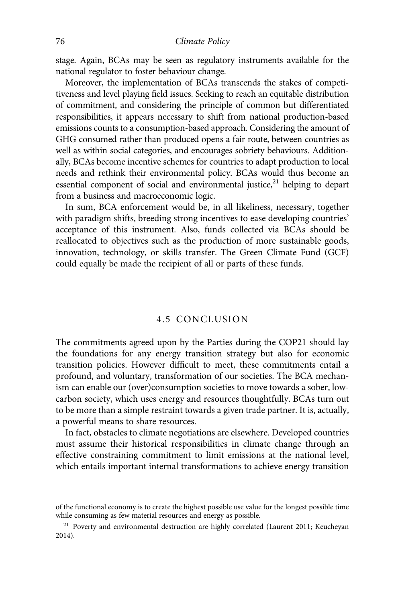stage. Again, BCAs may be seen as regulatory instruments available for the national regulator to foster behaviour change.

Moreover, the implementation of BCAs transcends the stakes of competitiveness and level playing field issues. Seeking to reach an equitable distribution of commitment, and considering the principle of common but differentiated responsibilities, it appears necessary to shift from national production-based emissions counts to a consumption-based approach. Considering the amount of GHG consumed rather than produced opens a fair route, between countries as well as within social categories, and encourages sobriety behaviours. Additionally, BCAs become incentive schemes for countries to adapt production to local needs and rethink their environmental policy. BCAs would thus become an essential component of social and environmental justice, $21$  helping to depart from a business and macroeconomic logic.

In sum, BCA enforcement would be, in all likeliness, necessary, together with paradigm shifts, breeding strong incentives to ease developing countries' acceptance of this instrument. Also, funds collected via BCAs should be reallocated to objectives such as the production of more sustainable goods, innovation, technology, or skills transfer. The Green Climate Fund (GCF) could equally be made the recipient of all or parts of these funds.

#### 4.5 CONCLUSION

The commitments agreed upon by the Parties during the COP21 should lay the foundations for any energy transition strategy but also for economic transition policies. However difficult to meet, these commitments entail a profound, and voluntary, transformation of our societies. The BCA mechanism can enable our (over)consumption societies to move towards a sober, lowcarbon society, which uses energy and resources thoughtfully. BCAs turn out to be more than a simple restraint towards a given trade partner. It is, actually, a powerful means to share resources.

In fact, obstacles to climate negotiations are elsewhere. Developed countries must assume their historical responsibilities in climate change through an effective constraining commitment to limit emissions at the national level, which entails important internal transformations to achieve energy transition

of the functional economy is to create the highest possible use value for the longest possible time while consuming as few material resources and energy as possible.

<sup>&</sup>lt;sup>21</sup> Poverty and environmental destruction are highly correlated (Laurent 2011; Keucheyan 2014).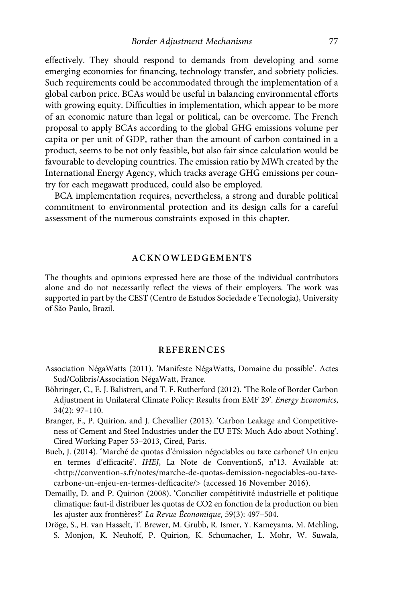effectively. They should respond to demands from developing and some emerging economies for financing, technology transfer, and sobriety policies. Such requirements could be accommodated through the implementation of a global carbon price. BCAs would be useful in balancing environmental efforts with growing equity. Difficulties in implementation, which appear to be more of an economic nature than legal or political, can be overcome. The French proposal to apply BCAs according to the global GHG emissions volume per capita or per unit of GDP, rather than the amount of carbon contained in a product, seems to be not only feasible, but also fair since calculation would be favourable to developing countries. The emission ratio by MWh created by the International Energy Agency, which tracks average GHG emissions per country for each megawatt produced, could also be employed.

BCA implementation requires, nevertheless, a strong and durable political commitment to environmental protection and its design calls for a careful assessment of the numerous constraints exposed in this chapter.

#### ACKNOWLEDGEMENTS

The thoughts and opinions expressed here are those of the individual contributors alone and do not necessarily reflect the views of their employers. The work was supported in part by the CEST (Centro de Estudos Sociedade e Tecnologia), University of São Paulo, Brazil.

#### REFERENCES

- Association NégaWatts (2011). 'Manifeste NégaWatts, Domaine du possible'. Actes Sud/Colibris/Association NégaWatt, France.
- Böhringer, C., E. J. Balistreri, and T. F. Rutherford (2012). 'The Role of Border Carbon Adjustment in Unilateral Climate Policy: Results from EMF 29'. Energy Economics, 34(2): 97–110.
- Branger, F., P. Quirion, and J. Chevallier (2013). 'Carbon Leakage and Competitiveness of Cement and Steel Industries under the EU ETS: Much Ado about Nothing'. Cired Working Paper 53–2013, Cired, Paris.
- Bueb, J. (2014). 'Marché de quotas d'émission négociables ou taxe carbone? Un enjeu en termes d'efficacité'. IHEJ, La Note de ConventionS, n°13. Available at: [<http://convention-s.fr/notes/marche-de-quotas-demission-negociables-ou-taxe](http://convention-s.fr/notes/marche-de-quotas-demission-negociables-ou-taxe-carbone-un-enjeu-en-termes-defficacite/)[carbone-un-enjeu-en-termes-def](http://convention-s.fr/notes/marche-de-quotas-demission-negociables-ou-taxe-carbone-un-enjeu-en-termes-defficacite/)ficacite/> (accessed 16 November 2016).
- Demailly, D. and P. Quirion (2008). 'Concilier compétitivité industrielle et politique climatique: faut-il distribuer les quotas de CO2 en fonction de la production ou bien les ajuster aux frontières?' La Revue Économique, 59(3): 497–504.
- Dröge, S., H. van Hasselt, T. Brewer, M. Grubb, R. Ismer, Y. Kameyama, M. Mehling, S. Monjon, K. Neuhoff, P. Quirion, K. Schumacher, L. Mohr, W. Suwala,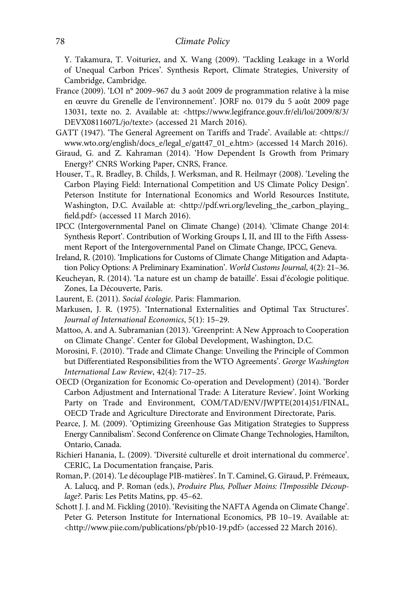Y. Takamura, T. Voituriez, and X. Wang (2009). 'Tackling Leakage in a World of Unequal Carbon Prices'. Synthesis Report, Climate Strategies, University of Cambridge, Cambridge.

- France (2009). 'LOI n° 2009–967 du 3 août 2009 de programmation relative à la mise en œuvre du Grenelle de l'environnement'. JORF no. 0179 du 5 août 2009 page 13031, texte no. 2. Available at: <[https://www.legifrance.gouv.fr/eli/loi/2009/8/3/](https://www.legifrance.gouv.fr/eli/loi/2009/8/3/DEVX0811607L/jo/texte) [DEVX0811607L/jo/texte>](https://www.legifrance.gouv.fr/eli/loi/2009/8/3/DEVX0811607L/jo/texte) (accessed 21 March 2016).
- GATT (1947). 'The General Agreement on Tariffs and Trade'. Available at: <[https://](https://www.wto.org/english/docs_e/legal_e/gatt47_01_e.htm) [www.wto.org/english/docs\\_e/legal\\_e/gatt47\\_01\\_e.htm>](https://www.wto.org/english/docs_e/legal_e/gatt47_01_e.htm) (accessed 14 March 2016).
- Giraud, G. and Z. Kahraman (2014). 'How Dependent Is Growth from Primary Energy?' CNRS Working Paper, CNRS, France.
- Houser, T., R. Bradley, B. Childs, J. Werksman, and R. Heilmayr (2008). 'Leveling the Carbon Playing Field: International Competition and US Climate Policy Design'. Peterson Institute for International Economics and World Resources Institute, Washington, D.C. Available at: [<http://pdf.wri.org/leveling\\_the\\_carbon\\_playing\\_](http://pdf.wri.org/leveling_the_carbon_playing_field.pdf) fi[eld.pdf>](http://pdf.wri.org/leveling_the_carbon_playing_field.pdf) (accessed 11 March 2016).
- IPCC (Intergovernmental Panel on Climate Change) (2014). 'Climate Change 2014: Synthesis Report'. Contribution of Working Groups I, II, and III to the Fifth Assessment Report of the Intergovernmental Panel on Climate Change, IPCC, Geneva.
- Ireland, R. (2010). 'Implications for Customs of Climate Change Mitigation and Adaptation Policy Options: A Preliminary Examination'. World Customs Journal, 4(2): 21–36.
- Keucheyan, R. (2014). 'La nature est un champ de bataille'. Essai d'écologie politique. Zones, La Découverte, Paris.
- Laurent, E. (2011). Social écologie. Paris: Flammarion.
- Markusen, J. R. (1975). 'International Externalities and Optimal Tax Structures'. Journal of International Economics, 5(1): 15–29.
- Mattoo, A. and A. Subramanian (2013). 'Greenprint: A New Approach to Cooperation on Climate Change'. Center for Global Development, Washington, D.C.
- Morosini, F. (2010). 'Trade and Climate Change: Unveiling the Principle of Common but Differentiated Responsibilities from the WTO Agreements'. George Washington International Law Review, 42(4): 717–25.
- OECD (Organization for Economic Co-operation and Development) (2014). 'Border Carbon Adjustment and International Trade: A Literature Review'. Joint Working Party on Trade and Environment, COM/TAD/ENV/JWPTE(2014)51/FINAL, OECD Trade and Agriculture Directorate and Environment Directorate, Paris.
- Pearce, J. M. (2009). 'Optimizing Greenhouse Gas Mitigation Strategies to Suppress Energy Cannibalism'. Second Conference on Climate Change Technologies, Hamilton, Ontario, Canada.
- Richieri Hanania, L. (2009). 'Diversité culturelle et droit international du commerce'. CERIC, La Documentation française, Paris.
- Roman, P. (2014). 'Le découplage PIB-matières'. In T. Caminel, G. Giraud, P. Frémeaux, A. Lalucq, and P. Roman (eds.), Produire Plus, Polluer Moins: l'Impossible Découplage?. Paris: Les Petits Matins, pp. 45–62.
- Schott J. J. and M. Fickling (2010). 'Revisiting the NAFTA Agenda on Climate Change'. Peter G. Peterson Institute for International Economics, PB 10–19. Available at: <<http://www.piie.com/publications/pb/pb10-19.pdf>> (accessed 22 March 2016).